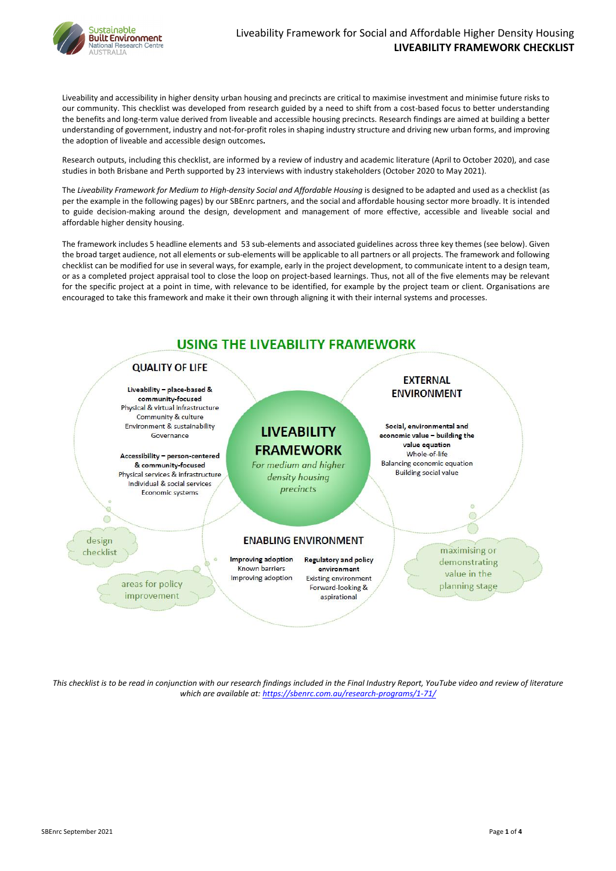

SBEnrc September 2021 Page **1** of **4**

Liveability and accessibility in higher density urban housing and precincts are critical to maximise investment and minimise future risks to our community. This checklist was developed from research guided by a need to shift from a cost-based focus to better understanding the benefits and long-term value derived from liveable and accessible housing precincts. Research findings are aimed at building a better understanding of government, industry and not-for-profit roles in shaping industry structure and driving new urban forms, and improving the adoption of liveable and accessible design outcomes**.**

Research outputs, including this checklist, are informed by a review of industry and academic literature (April to October 2020), and case studies in both Brisbane and Perth supported by 23 interviews with industry stakeholders (October 2020 to May 2021).

The *Liveability Framework for Medium to High-density Social and Affordable Housing* is designed to be adapted and used as a checklist (as per the example in the following pages) by our SBEnrc partners, and the social and affordable housing sector more broadly. It is intended to guide decision-making around the design, development and management of more effective, accessible and liveable social and affordable higher density housing.

The framework includes 5 headline elements and 53 sub-elements and associated guidelines across three key themes (see below). Given the broad target audience, not all elements or sub-elements will be applicable to all partners or all projects. The framework and following checklist can be modified for use in several ways, for example, early in the project development, to communicate intent to a design team, or as a completed project appraisal tool to close the loop on project-based learnings. Thus, not all of the five elements may be relevant for the specific project at a point in time, with relevance to be identified, for example by the project team or client. Organisations are encouraged to take this framework and make it their own through aligning it with their internal systems and processes.



# **QUALITY OF LIFE**

Liveability - place-based & community-focused Physical & virtual infrastructure Community & culture Environment & sustainability Governance

Accessibility - person-centered & community-focused Physical services & infrastructure Individual & social services Economic systems

design checklist

> areas for policy improvement

# **LIVEABILITY FRAMEWORK**

For medium and higher density housing precincts

### **EXTERNAL ENVIRONMENT**

Social, environmental and economic value - building the value equation Whole-of-life Balancing economic equation **Building social value** 

**ENABLING ENVIRONMENT** 

Improving adoption Known barriers Improving adoption

**Regulatory and policy** environment **Existing environment** Forward-looking & aspirational

maximising or demonstrating value in the planning stage

 $\circ$ 

*This checklist is to be read in conjunction with our research findings included in the Final Industry Report, YouTube video and review of literature which are available at:<https://sbenrc.com.au/research-programs/1-71/>*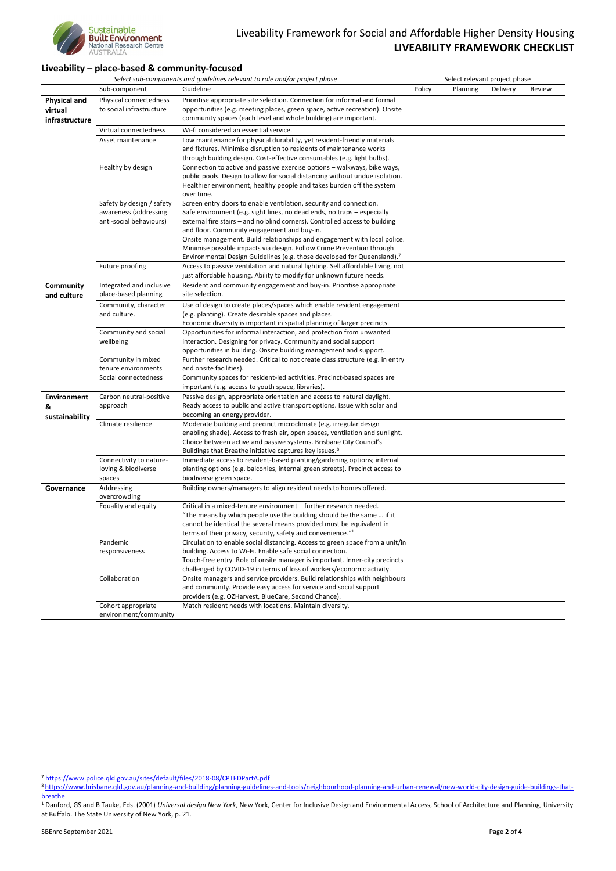

## Liveability Framework for Social and Affordable Higher Density Housing **LIVEABILITY FRAMEWORK CHECKLIST**

### **Liveability – place-based & community-focused**

|                                |                                                    | Select sub-components and guidelines relevant to role and/or project phase                                                                                             | Select relevant project phase |          |          |        |
|--------------------------------|----------------------------------------------------|------------------------------------------------------------------------------------------------------------------------------------------------------------------------|-------------------------------|----------|----------|--------|
|                                | Sub-component                                      | Guideline                                                                                                                                                              | Policy                        | Planning | Delivery | Review |
| <b>Physical and</b><br>virtual | Physical connectedness<br>to social infrastructure | Prioritise appropriate site selection. Connection for informal and formal<br>opportunities (e.g. meeting places, green space, active recreation). Onsite               |                               |          |          |        |
| infrastructure                 |                                                    | community spaces (each level and whole building) are important.                                                                                                        |                               |          |          |        |
|                                | Virtual connectedness                              | Wi-fi considered an essential service.                                                                                                                                 |                               |          |          |        |
|                                | Asset maintenance                                  | Low maintenance for physical durability, yet resident-friendly materials                                                                                               |                               |          |          |        |
|                                |                                                    | and fixtures. Minimise disruption to residents of maintenance works                                                                                                    |                               |          |          |        |
|                                |                                                    | through building design. Cost-effective consumables (e.g. light bulbs).                                                                                                |                               |          |          |        |
|                                | Healthy by design                                  | Connection to active and passive exercise options - walkways, bike ways,                                                                                               |                               |          |          |        |
|                                |                                                    | public pools. Design to allow for social distancing without undue isolation.                                                                                           |                               |          |          |        |
|                                |                                                    | Healthier environment, healthy people and takes burden off the system<br>over time.                                                                                    |                               |          |          |        |
|                                | Safety by design / safety                          | Screen entry doors to enable ventilation, security and connection.                                                                                                     |                               |          |          |        |
|                                | awareness (addressing                              | Safe environment (e.g. sight lines, no dead ends, no traps - especially                                                                                                |                               |          |          |        |
|                                | anti-social behaviours)                            | external fire stairs - and no blind corners). Controlled access to building                                                                                            |                               |          |          |        |
|                                |                                                    | and floor. Community engagement and buy-in.                                                                                                                            |                               |          |          |        |
|                                |                                                    | Onsite management. Build relationships and engagement with local police.                                                                                               |                               |          |          |        |
|                                |                                                    | Minimise possible impacts via design. Follow Crime Prevention through                                                                                                  |                               |          |          |        |
|                                | Future proofing                                    | Environmental Design Guidelines (e.g. those developed for Queensland). <sup>7</sup><br>Access to passive ventilation and natural lighting. Sell affordable living, not |                               |          |          |        |
|                                |                                                    | just affordable housing. Ability to modify for unknown future needs.                                                                                                   |                               |          |          |        |
| <b>Community</b>               | Integrated and inclusive                           | Resident and community engagement and buy-in. Prioritise appropriate                                                                                                   |                               |          |          |        |
| and culture                    | place-based planning                               | site selection.                                                                                                                                                        |                               |          |          |        |
|                                | Community, character                               | Use of design to create places/spaces which enable resident engagement                                                                                                 |                               |          |          |        |
|                                | and culture.                                       | (e.g. planting). Create desirable spaces and places.                                                                                                                   |                               |          |          |        |
|                                |                                                    | Economic diversity is important in spatial planning of larger precincts.<br>Opportunities for informal interaction, and protection from unwanted                       |                               |          |          |        |
|                                | Community and social<br>wellbeing                  | interaction. Designing for privacy. Community and social support                                                                                                       |                               |          |          |        |
|                                |                                                    | opportunities in building. Onsite building management and support.                                                                                                     |                               |          |          |        |
|                                | Community in mixed                                 | Further research needed. Critical to not create class structure (e.g. in entry                                                                                         |                               |          |          |        |
|                                | tenure environments                                | and onsite facilities).                                                                                                                                                |                               |          |          |        |
|                                | Social connectedness                               | Community spaces for resident-led activities. Precinct-based spaces are                                                                                                |                               |          |          |        |
|                                |                                                    | important (e.g. access to youth space, libraries).                                                                                                                     |                               |          |          |        |
| <b>Environment</b>             | Carbon neutral-positive                            | Passive design, appropriate orientation and access to natural daylight.                                                                                                |                               |          |          |        |
| &                              | approach                                           | Ready access to public and active transport options. Issue with solar and                                                                                              |                               |          |          |        |
| sustainability                 |                                                    | becoming an energy provider.                                                                                                                                           |                               |          |          |        |
|                                | Climate resilience                                 | Moderate building and precinct microclimate (e.g. irregular design                                                                                                     |                               |          |          |        |
|                                |                                                    | enabling shade). Access to fresh air, open spaces, ventilation and sunlight.<br>Choice between active and passive systems. Brisbane City Council's                     |                               |          |          |        |
|                                |                                                    | Buildings that Breathe initiative captures key issues. <sup>8</sup>                                                                                                    |                               |          |          |        |
|                                | Connectivity to nature-                            | Immediate access to resident-based planting/gardening options; internal                                                                                                |                               |          |          |        |
|                                | loving & biodiverse                                | planting options (e.g. balconies, internal green streets). Precinct access to                                                                                          |                               |          |          |        |
|                                | spaces                                             | biodiverse green space.                                                                                                                                                |                               |          |          |        |
| Governance                     | Addressing<br>overcrowding                         | Building owners/managers to align resident needs to homes offered.                                                                                                     |                               |          |          |        |
|                                | Equality and equity                                | Critical in a mixed-tenure environment - further research needed.                                                                                                      |                               |          |          |        |
|                                |                                                    | "The means by which people use the building should be the same  if it                                                                                                  |                               |          |          |        |
|                                |                                                    | cannot be identical the several means provided must be equivalent in                                                                                                   |                               |          |          |        |
|                                |                                                    | terms of their privacy, security, safety and convenience." <sup>1</sup>                                                                                                |                               |          |          |        |
|                                | Pandemic                                           | Circulation to enable social distancing. Access to green space from a unit/in                                                                                          |                               |          |          |        |
|                                | responsiveness                                     | building. Access to Wi-Fi. Enable safe social connection.                                                                                                              |                               |          |          |        |
|                                |                                                    | Touch-free entry. Role of onsite manager is important. Inner-city precincts<br>challenged by COVID-19 in terms of loss of workers/economic activity.                   |                               |          |          |        |
|                                | Collaboration                                      | Onsite managers and service providers. Build relationships with neighbours                                                                                             |                               |          |          |        |
|                                |                                                    | and community. Provide easy access for service and social support                                                                                                      |                               |          |          |        |
|                                |                                                    | providers (e.g. OZHarvest, BlueCare, Second Chance).                                                                                                                   |                               |          |          |        |
|                                | Cohort appropriate<br>environment/community        | Match resident needs with locations. Maintain diversity.                                                                                                               |                               |          |          |        |

SBEnrc September 2021 **Page 2 of 4** 

<sup>8</sup> [https://www.brisbane.qld.gov.au/planning-and-building/planning-guidelines-and-tools/neighbourhood-planning-and-urban-renewal/new-world-city-design-guide-buildings-that](https://www.brisbane.qld.gov.au/planning-and-building/planning-guidelines-and-tools/neighbourhood-planning-and-urban-renewal/new-world-city-design-guide-buildings-that-breathe)[breathe](https://www.brisbane.qld.gov.au/planning-and-building/planning-guidelines-and-tools/neighbourhood-planning-and-urban-renewal/new-world-city-design-guide-buildings-that-breathe)

<sup>&</sup>lt;sup>1</sup> Danford, GS and B Tauke, Eds. (2001) *Universal design New York*, New York, Center for Inclusive Design and Environmental Access, School of Architecture and Planning, University at Buffalo. The State University of New York, p. 21.

<sup>7</sup> <https://www.police.qld.gov.au/sites/default/files/2018-08/CPTEDPartA.pdf>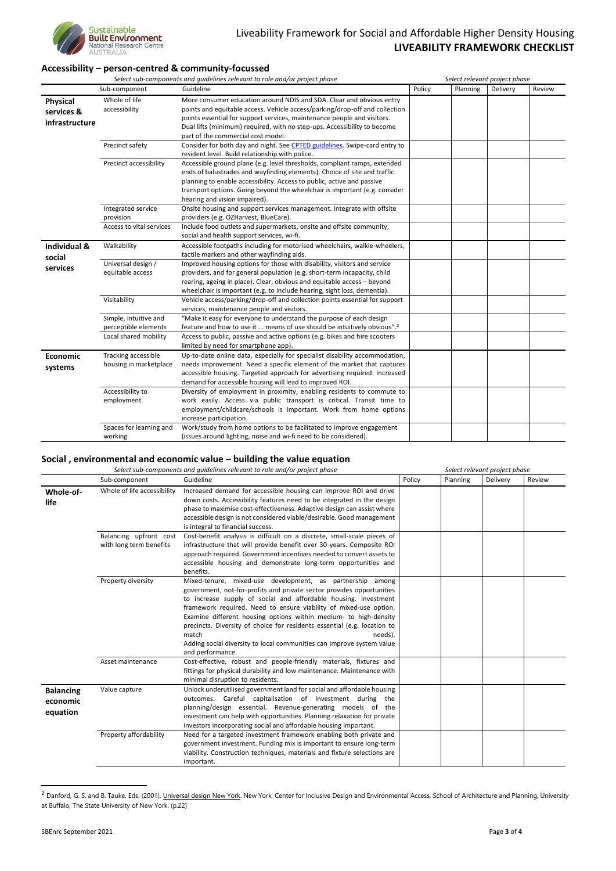

### **Accessibility – person-centred & community-focussed**

| Select sub-components and guidelines relevant to role and/or project phase |                          |                                                                                      | Select relevant project phase |                 |          |        |
|----------------------------------------------------------------------------|--------------------------|--------------------------------------------------------------------------------------|-------------------------------|-----------------|----------|--------|
|                                                                            | Sub-component            | Guideline                                                                            | Policy                        | <b>Planning</b> | Delivery | Review |
| <b>Physical</b>                                                            | Whole of life            | More consumer education around NDIS and SDA. Clear and obvious entry                 |                               |                 |          |        |
| services &                                                                 | accessibility            | points and equitable access. Vehicle access/parking/drop-off and collection          |                               |                 |          |        |
|                                                                            |                          | points essential for support services, maintenance people and visitors.              |                               |                 |          |        |
| infrastructure                                                             |                          | Dual lifts (minimum) required, with no step-ups. Accessibility to become             |                               |                 |          |        |
|                                                                            |                          | part of the commercial cost model.                                                   |                               |                 |          |        |
|                                                                            | Precinct safety          | Consider for both day and night. See CPTED guidelines. Swipe-card entry to           |                               |                 |          |        |
|                                                                            |                          | resident level. Build relationship with police.                                      |                               |                 |          |        |
|                                                                            | Precinct accessibility   | Accessible ground plane (e.g. level thresholds, compliant ramps, extended            |                               |                 |          |        |
|                                                                            |                          | ends of balustrades and wayfinding elements). Choice of site and traffic             |                               |                 |          |        |
|                                                                            |                          | planning to enable accessibility. Access to public, active and passive               |                               |                 |          |        |
|                                                                            |                          | transport options. Going beyond the wheelchair is important (e.g. consider           |                               |                 |          |        |
|                                                                            |                          | hearing and vision impaired).                                                        |                               |                 |          |        |
|                                                                            | Integrated service       | Onsite housing and support services management. Integrate with offsite               |                               |                 |          |        |
|                                                                            | provision                | providers (e.g. OZHarvest, BlueCare).                                                |                               |                 |          |        |
|                                                                            | Access to vital services | Include food outlets and supermarkets, onsite and offsite community,                 |                               |                 |          |        |
|                                                                            |                          | social and health support services, wi-fi.                                           |                               |                 |          |        |
| Individual &                                                               | Walkability              | Accessible footpaths including for motorised wheelchairs, walkie-wheelers,           |                               |                 |          |        |
| social                                                                     |                          | tactile markers and other wayfinding aids.                                           |                               |                 |          |        |
| services                                                                   | Universal design /       | Improved housing options for those with disability, visitors and service             |                               |                 |          |        |
|                                                                            | equitable access         | providers, and for general population (e.g. short-term incapacity, child             |                               |                 |          |        |
|                                                                            |                          | rearing, ageing in place). Clear, obvious and equitable access - beyond              |                               |                 |          |        |
|                                                                            |                          | wheelchair is important (e.g. to include hearing, sight loss, dementia).             |                               |                 |          |        |
|                                                                            | Visitability             | Vehicle access/parking/drop-off and collection points essential for support          |                               |                 |          |        |
|                                                                            |                          | services, maintenance people and visitors.                                           |                               |                 |          |        |
|                                                                            | Simple, intuitive and    | "Make it easy for everyone to understand the purpose of each design                  |                               |                 |          |        |
|                                                                            | perceptible elements     | feature and how to use it  means of use should be intuitively obvious". <sup>2</sup> |                               |                 |          |        |
|                                                                            | Local shared mobility    | Access to public, passive and active options (e.g. bikes and hire scooters           |                               |                 |          |        |
|                                                                            |                          | limited by need for smartphone app).                                                 |                               |                 |          |        |
| Economic                                                                   | Tracking accessible      | Up-to-date online data, especially for specialist disability accommodation,          |                               |                 |          |        |
| systems                                                                    | housing in marketplace   | needs improvement. Need a specific element of the market that captures               |                               |                 |          |        |
|                                                                            |                          | accessible housing. Targeted approach for advertising required. Increased            |                               |                 |          |        |
|                                                                            |                          | demand for accessible housing will lead to improved ROI.                             |                               |                 |          |        |
|                                                                            | Accessibility to         | Diversity of employment in proximity, enabling residents to commute to               |                               |                 |          |        |
|                                                                            | employment               | work easily. Access via public transport is critical. Transit time to                |                               |                 |          |        |
|                                                                            |                          | employment/childcare/schools is important. Work from home options                    |                               |                 |          |        |
|                                                                            |                          | increase participation.                                                              |                               |                 |          |        |
|                                                                            | Spaces for learning and  | Work/study from home options to be facilitated to improve engagement                 |                               |                 |          |        |
|                                                                            | working                  | (issues around lighting, noise and wi-fi need to be considered).                     |                               |                 |          |        |

### **Social , environmental and economic value – building the value equation**

|                                          | Select sub-components and guidelines relevant to role and/or project phase |                                                                                                                                                                                                                                                                                                                                                                                                                                                                                                                                             |        | Select relevant project phase |          |        |  |  |
|------------------------------------------|----------------------------------------------------------------------------|---------------------------------------------------------------------------------------------------------------------------------------------------------------------------------------------------------------------------------------------------------------------------------------------------------------------------------------------------------------------------------------------------------------------------------------------------------------------------------------------------------------------------------------------|--------|-------------------------------|----------|--------|--|--|
|                                          | Sub-component                                                              | Guideline                                                                                                                                                                                                                                                                                                                                                                                                                                                                                                                                   | Policy | Planning                      | Delivery | Review |  |  |
| Whole-of-<br>life                        | Whole of life accessibility                                                | Increased demand for accessible housing can improve ROI and drive<br>down costs. Accessibility features need to be integrated in the design<br>phase to maximise cost-effectiveness. Adaptive design can assist where<br>accessible design is not considered viable/desirable. Good management<br>is integral to financial success.                                                                                                                                                                                                         |        |                               |          |        |  |  |
|                                          | Balancing upfront cost<br>with long term benefits                          | Cost-benefit analysis is difficult on a discrete, small-scale pieces of<br>infrastructure that will provide benefit over 30 years. Composite ROI<br>approach required. Government incentives needed to convert assets to<br>accessible housing and demonstrate long-term opportunities and<br>benefits.                                                                                                                                                                                                                                     |        |                               |          |        |  |  |
|                                          | Property diversity                                                         | Mixed-tenure, mixed-use development, as partnership among<br>government, not-for-profits and private sector provides opportunities<br>to increase supply of social and affordable housing. Investment<br>framework required. Need to ensure viability of mixed-use option.<br>Examine different housing options within medium- to high-density<br>precincts. Diversity of choice for residents essential (e.g. location to<br>match<br>needs).<br>Adding social diversity to local communities can improve system value<br>and performance. |        |                               |          |        |  |  |
|                                          | Asset maintenance                                                          | Cost-effective, robust and people-friendly materials, fixtures and<br>fittings for physical durability and low maintenance. Maintenance with<br>minimal disruption to residents.                                                                                                                                                                                                                                                                                                                                                            |        |                               |          |        |  |  |
| <b>Balancing</b><br>economic<br>equation | Value capture                                                              | Unlock underutilised government land for social and affordable housing<br>outcomes. Careful capitalisation of investment during the<br>planning/design essential. Revenue-generating models of the<br>investment can help with opportunities. Planning relaxation for private<br>investors incorporating social and affordable housing important.                                                                                                                                                                                           |        |                               |          |        |  |  |
|                                          | Property affordability                                                     | Need for a targeted investment framework enabling both private and<br>government investment. Funding mix is important to ensure long-term<br>viability. Construction techniques, materials and fixture selections are<br>important.                                                                                                                                                                                                                                                                                                         |        |                               |          |        |  |  |

<sup>&</sup>lt;sup>2</sup> Danford, G. S. and B. Tauke, Eds. (2001). *Universal design New York*. New York, Center for Inclusive Design and Environmental Access, School of Architecture and Planning, University at Buffalo, The State University of New York. (p.22)

SBEnrc September 2021 **Page 3 of 4**